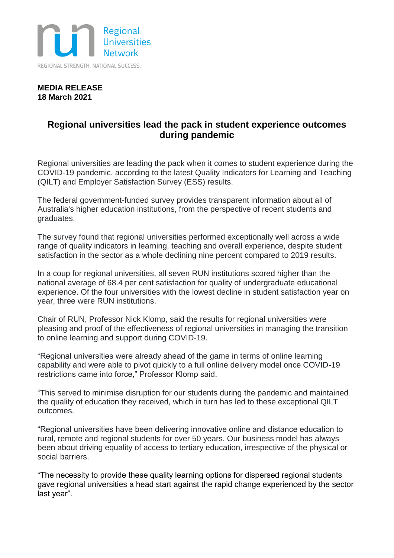

## **MEDIA RELEASE 18 March 2021**

## **Regional universities lead the pack in student experience outcomes during pandemic**

Regional universities are leading the pack when it comes to student experience during the COVID-19 pandemic, according to the latest Quality Indicators for Learning and Teaching (QILT) and Employer Satisfaction Survey (ESS) results.

The federal government-funded survey provides transparent information about all of Australia's higher education institutions, from the perspective of recent students and graduates.

The survey found that regional universities performed exceptionally well across a wide range of quality indicators in learning, teaching and overall experience, despite student satisfaction in the sector as a whole declining nine percent compared to 2019 results.

In a coup for regional universities, all seven RUN institutions scored higher than the national average of 68.4 per cent satisfaction for quality of undergraduate educational experience. Of the four universities with the lowest decline in student satisfaction year on year, three were RUN institutions.

Chair of RUN, Professor Nick Klomp, said the results for regional universities were pleasing and proof of the effectiveness of regional universities in managing the transition to online learning and support during COVID-19.

"Regional universities were already ahead of the game in terms of online learning capability and were able to pivot quickly to a full online delivery model once COVID-19 restrictions came into force," Professor Klomp said.

"This served to minimise disruption for our students during the pandemic and maintained the quality of education they received, which in turn has led to these exceptional QILT outcomes.

"Regional universities have been delivering innovative online and distance education to rural, remote and regional students for over 50 years. Our business model has always been about driving equality of access to tertiary education, irrespective of the physical or social barriers.

"The necessity to provide these quality learning options for dispersed regional students gave regional universities a head start against the rapid change experienced by the sector last year".